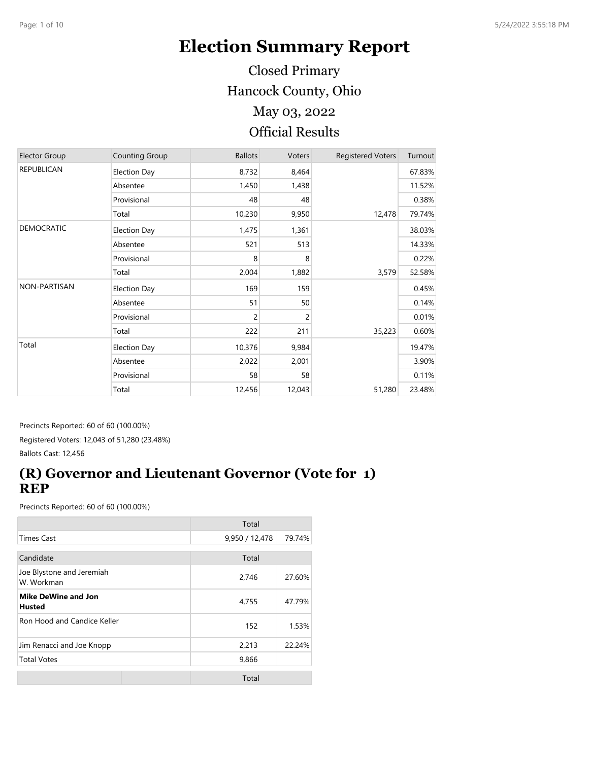# **Election Summary Report**

Hancock County, Ohio Official Results May 03, 2022 Closed Primary

| <b>Elector Group</b> | Counting Group      | <b>Ballots</b> | Voters | <b>Registered Voters</b> | Turnout |
|----------------------|---------------------|----------------|--------|--------------------------|---------|
| <b>REPUBLICAN</b>    | <b>Election Day</b> | 8,732          | 8,464  |                          | 67.83%  |
|                      | Absentee            | 1,450          | 1,438  |                          | 11.52%  |
|                      | Provisional         | 48             | 48     |                          | 0.38%   |
|                      | Total               | 10,230         | 9,950  | 12,478                   | 79.74%  |
| <b>DEMOCRATIC</b>    | <b>Election Day</b> | 1,475          | 1,361  |                          | 38.03%  |
|                      | Absentee            | 521            | 513    |                          | 14.33%  |
|                      | Provisional         | 8              | 8      |                          | 0.22%   |
|                      | Total               | 2,004          | 1,882  | 3,579                    | 52.58%  |
| NON-PARTISAN         | Election Day        | 169            | 159    |                          | 0.45%   |
|                      | Absentee            | 51             | 50     |                          | 0.14%   |
|                      | Provisional         | $\overline{c}$ | 2      |                          | 0.01%   |
|                      | Total               | 222            | 211    | 35,223                   | 0.60%   |
| Total                | <b>Election Day</b> | 10,376         | 9,984  |                          | 19.47%  |
|                      | Absentee            | 2,022          | 2,001  |                          | 3.90%   |
|                      | Provisional         | 58             | 58     |                          | 0.11%   |
|                      | Total               | 12,456         | 12,043 | 51,280                   | 23.48%  |

Precincts Reported: 60 of 60 (100.00%) Registered Voters: 12,043 of 51,280 (23.48%) Ballots Cast: 12,456

#### **(R) Governor and Lieutenant Governor (Vote for 1) REP**

|                                             | Total          |        |
|---------------------------------------------|----------------|--------|
| <b>Times Cast</b>                           | 9,950 / 12,478 | 79.74% |
| Candidate                                   | Total          |        |
| Joe Blystone and Jeremiah<br>W. Workman     | 2,746          | 27.60% |
| <b>Mike DeWine and Jon</b><br><b>Husted</b> | 4,755          | 47.79% |
| Ron Hood and Candice Keller                 | 152            | 1.53%  |
| Jim Renacci and Joe Knopp                   | 2,213          | 22.24% |
| <b>Total Votes</b>                          | 9,866          |        |
|                                             | Total          |        |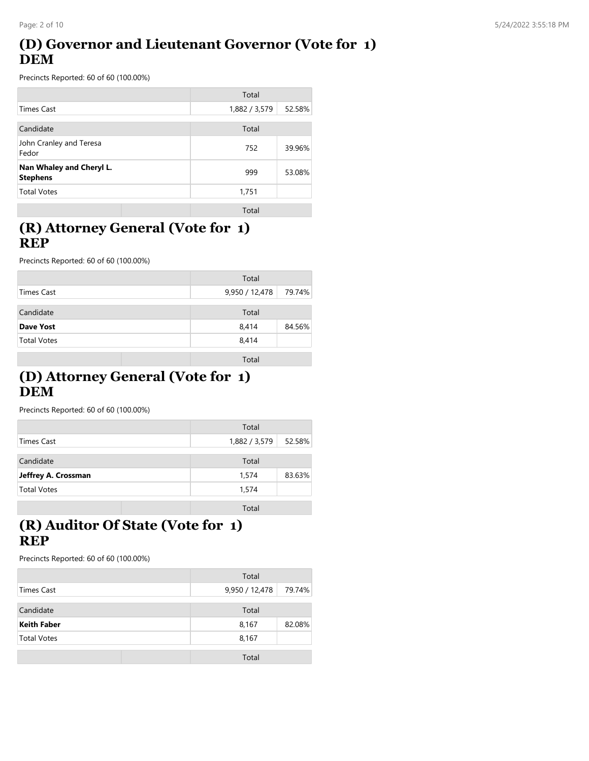# **(D) Governor and Lieutenant Governor (Vote for 1) DEM**

Precincts Reported: 60 of 60 (100.00%)

|                                             | Total         |        |
|---------------------------------------------|---------------|--------|
| <b>Times Cast</b>                           | 1,882 / 3,579 | 52.58% |
| Candidate                                   | Total         |        |
| John Cranley and Teresa<br>Fedor            | 752           | 39.96% |
| Nan Whaley and Cheryl L.<br><b>Stephens</b> | 999           | 53.08% |
| <b>Total Votes</b>                          | 1,751         |        |
|                                             | Total         |        |

## **(R) Attorney General (Vote for 1) REP**

Precincts Reported: 60 of 60 (100.00%)

|                    | Total                    |
|--------------------|--------------------------|
| Times Cast         | 9,950 / 12,478<br>79.74% |
| Candidate          | Total                    |
| <b>Dave Yost</b>   | 84.56%<br>8,414          |
| <b>Total Votes</b> | 8,414                    |
|                    | Total                    |

#### **(D) Attorney General (Vote for 1) DEM**

Precincts Reported: 60 of 60 (100.00%)

|                     | Total         |        |
|---------------------|---------------|--------|
| Times Cast          | 1,882 / 3,579 | 52.58% |
| Candidate           | Total         |        |
| Jeffrey A. Crossman | 1.574         | 83.63% |
| <b>Total Votes</b>  | 1,574         |        |
|                     |               |        |

Total

# **(R) Auditor Of State (Vote for 1) REP**

|                    | Total          |        |
|--------------------|----------------|--------|
| <b>Times Cast</b>  | 9,950 / 12,478 | 79.74% |
| Candidate          | Total          |        |
| <b>Keith Faber</b> | 8,167          | 82.08% |
| <b>Total Votes</b> | 8,167          |        |
|                    | Total          |        |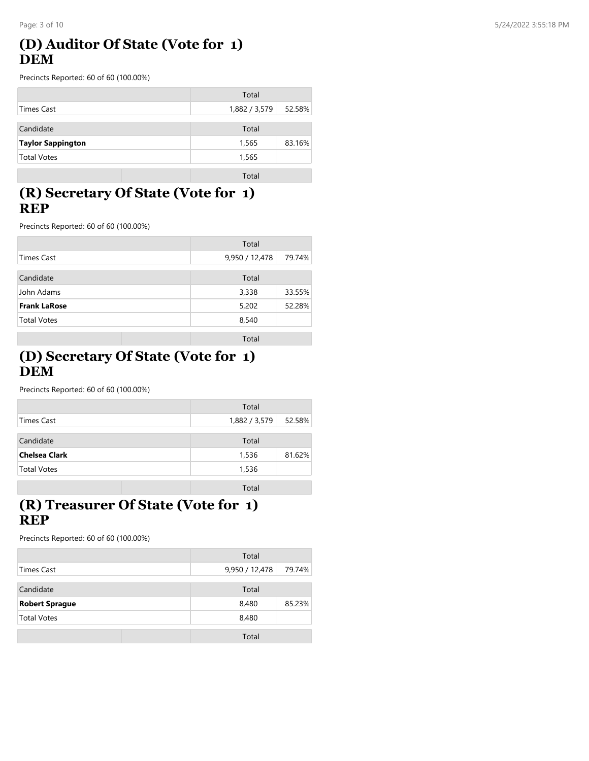# **(D) Auditor Of State (Vote for 1) DEM**

Precincts Reported: 60 of 60 (100.00%)

|                          | Total         |        |
|--------------------------|---------------|--------|
| Times Cast               | 1,882 / 3,579 | 52.58% |
| Candidate                | Total         |        |
| <b>Taylor Sappington</b> | 1,565         | 83.16% |
| <b>Total Votes</b>       | 1,565         |        |
|                          | Total         |        |

## **(R) Secretary Of State (Vote for 1) REP**

Precincts Reported: 60 of 60 (100.00%)

|                     | Total          |        |
|---------------------|----------------|--------|
| <b>Times Cast</b>   | 9,950 / 12,478 | 79.74% |
| Candidate           | Total          |        |
| John Adams          | 3,338          | 33.55% |
| <b>Frank LaRose</b> | 5,202          | 52.28% |
| <b>Total Votes</b>  | 8,540          |        |
|                     | Total          |        |

## **(D) Secretary Of State (Vote for 1) DEM**

Precincts Reported: 60 of 60 (100.00%)

|                               | Total                   |
|-------------------------------|-------------------------|
| Times Cast                    | 52.58%<br>1,882 / 3,579 |
| Candidate                     | Total                   |
| <b>Chelsea Clark</b><br>1,536 |                         |
| <b>Total Votes</b>            | 1,536                   |
|                               | Total                   |

## **(R) Treasurer Of State (Vote for 1) REP**

|                       | Total          |        |
|-----------------------|----------------|--------|
| Times Cast            | 9,950 / 12,478 | 79.74% |
|                       |                |        |
| Candidate             | Total          |        |
| <b>Robert Sprague</b> | 8,480          | 85.23% |
| <b>Total Votes</b>    | 8,480          |        |
|                       | Total          |        |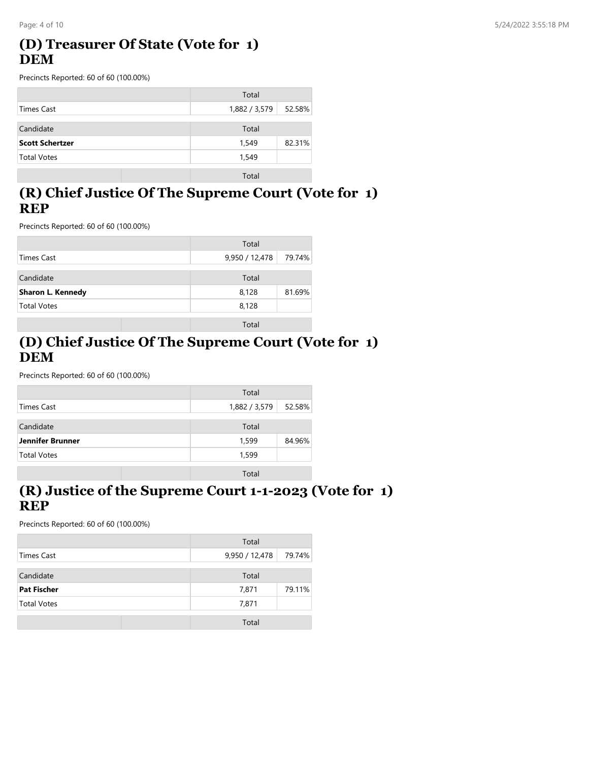## **(D) Treasurer Of State (Vote for 1) DEM**

Precincts Reported: 60 of 60 (100.00%)

|                                 | Total         |        |
|---------------------------------|---------------|--------|
| Times Cast                      | 1,882 / 3,579 | 52.58% |
| Candidate<br>Total              |               |        |
| <b>Scott Schertzer</b><br>1,549 |               | 82.31% |
| <b>Total Votes</b>              | 1,549         |        |
|                                 | Total         |        |

#### **(R) Chief Justice Of The Supreme Court (Vote for 1) REP**

Precincts Reported: 60 of 60 (100.00%)

|                                   | Total          |        |
|-----------------------------------|----------------|--------|
| Times Cast                        | 9,950 / 12,478 | 79.74% |
| Candidate                         | Total          |        |
| <b>Sharon L. Kennedy</b><br>8,128 |                | 81.69% |
| <b>Total Votes</b>                | 8,128          |        |
|                                   | Total          |        |

#### **(D) Chief Justice Of The Supreme Court (Vote for 1) DEM**

Precincts Reported: 60 of 60 (100.00%)

|                    | Total         |        |
|--------------------|---------------|--------|
| Times Cast         | 1,882 / 3,579 | 52.58% |
| Candidate          | Total         |        |
| Jennifer Brunner   | 1,599         | 84.96% |
| <b>Total Votes</b> | 1,599         |        |
|                    | Total         |        |

#### **(R) Justice of the Supreme Court 1-1-2023 (Vote for 1) REP**

|                    | Total                    |
|--------------------|--------------------------|
| Times Cast         | 9,950 / 12,478<br>79.74% |
| Candidate          | Total                    |
| <b>Pat Fischer</b> | 79.11%<br>7,871          |
| <b>Total Votes</b> | 7,871                    |
|                    | Total                    |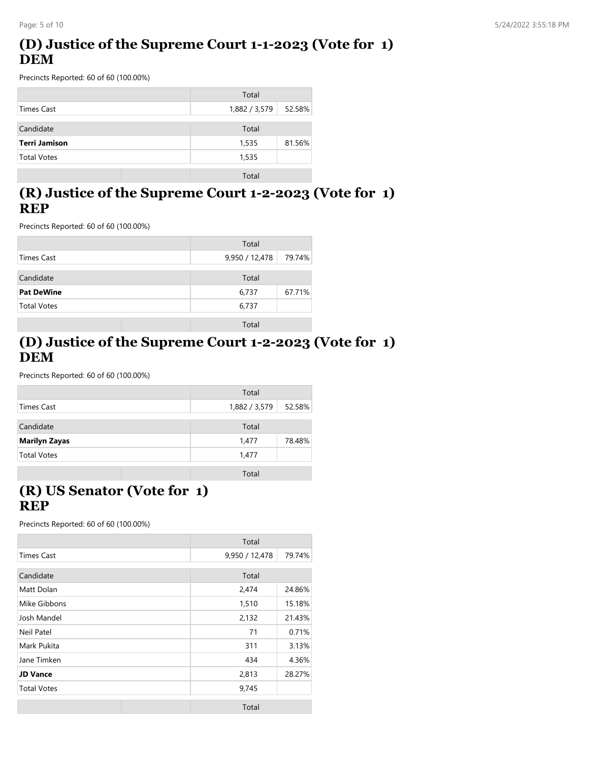# **(D) Justice of the Supreme Court 1-1-2023 (Vote for 1) DEM**

Precincts Reported: 60 of 60 (100.00%)

|                      | Total                   |
|----------------------|-------------------------|
| Times Cast           | 1,882 / 3,579<br>52.58% |
| Candidate            | Total                   |
| <b>Terri Jamison</b> | 81.56%<br>1,535         |
| <b>Total Votes</b>   | 1,535                   |
|                      | Total                   |

#### **(R) Justice of the Supreme Court 1-2-2023 (Vote for 1) REP**

Precincts Reported: 60 of 60 (100.00%)

|                    | Total                    |
|--------------------|--------------------------|
| Times Cast         | 9,950 / 12,478<br>79.74% |
| Candidate          | Total                    |
| <b>Pat DeWine</b>  | 67.71%<br>6,737          |
| <b>Total Votes</b> | 6,737                    |
|                    | Total                    |

#### **(D) Justice of the Supreme Court 1-2-2023 (Vote for 1) DEM**

Precincts Reported: 60 of 60 (100.00%)

|                    | Total                   |
|--------------------|-------------------------|
| Times Cast         | 52.58%<br>1,882 / 3,579 |
| Candidate          | Total                   |
| Marilyn Zayas      | 78.48%<br>1,477         |
| <b>Total Votes</b> | 1,477                   |
|                    | Total                   |

#### **(R) US Senator (Vote for 1) REP**

|                       | Total          |        |
|-----------------------|----------------|--------|
| <b>Times Cast</b>     | 9,950 / 12,478 | 79.74% |
| Candidate             | Total          |        |
| Matt Dolan            | 2,474          | 24.86% |
| Mike Gibbons<br>1,510 |                | 15.18% |
| Josh Mandel           | 2,132          | 21.43% |
| Neil Patel            | 71             | 0.71%  |
| Mark Pukita           | 311            | 3.13%  |
| Jane Timken           | 434            | 4.36%  |
| <b>JD Vance</b>       | 2,813          | 28.27% |
| <b>Total Votes</b>    | 9,745          |        |
|                       | Total          |        |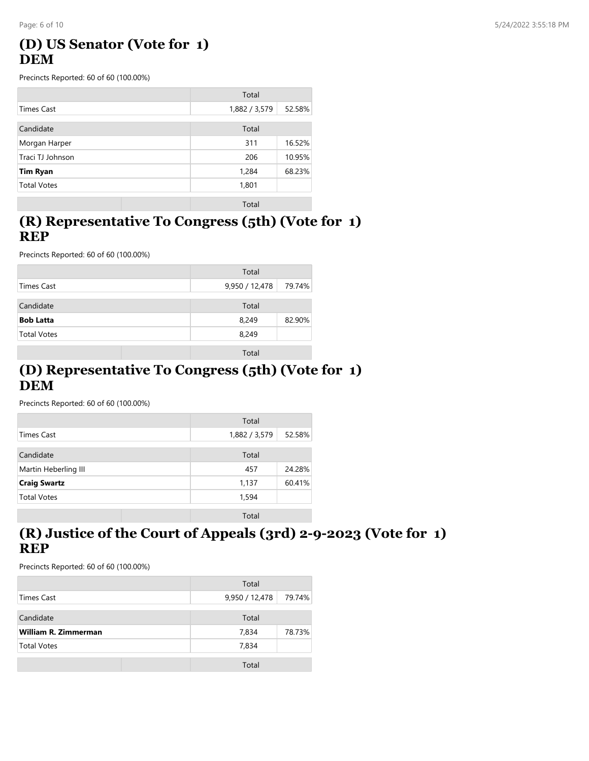## **(D) US Senator (Vote for 1) DEM**

Precincts Reported: 60 of 60 (100.00%)

|                    | Total         |        |
|--------------------|---------------|--------|
| <b>Times Cast</b>  | 1,882 / 3,579 | 52.58% |
| Candidate          | Total         |        |
| Morgan Harper      | 311           | 16.52% |
| Traci TJ Johnson   | 206           | 10.95% |
| <b>Tim Ryan</b>    | 1,284         | 68.23% |
| <b>Total Votes</b> | 1,801         |        |
|                    | Total         |        |

## **(R) Representative To Congress (5th) (Vote for 1) REP**

Precincts Reported: 60 of 60 (100.00%)

|                    | Total                    |
|--------------------|--------------------------|
| Times Cast         | 9,950 / 12,478<br>79.74% |
| Candidate          | Total                    |
| <b>Bob Latta</b>   | 82.90%<br>8,249          |
| <b>Total Votes</b> | 8,249                    |
|                    | Total                    |

#### **(D) Representative To Congress (5th) (Vote for 1) DEM**

Precincts Reported: 60 of 60 (100.00%)

|                      | Total         |        |
|----------------------|---------------|--------|
| <b>Times Cast</b>    | 1,882 / 3,579 | 52.58% |
| Candidate            | Total         |        |
| Martin Heberling III | 457           | 24.28% |
| <b>Craig Swartz</b>  | 1,137         | 60.41% |
| <b>Total Votes</b>   | 1,594         |        |
|                      | Total         |        |

# **(R) Justice of the Court of Appeals (3rd) 2-9-2023 (Vote for 1) REP**

|                             | Total          |        |
|-----------------------------|----------------|--------|
| Times Cast                  | 9,950 / 12,478 | 79.74% |
| Candidate                   | Total          |        |
| <b>William R. Zimmerman</b> | 7,834          | 78.73% |
| <b>Total Votes</b>          | 7,834          |        |
|                             | Total          |        |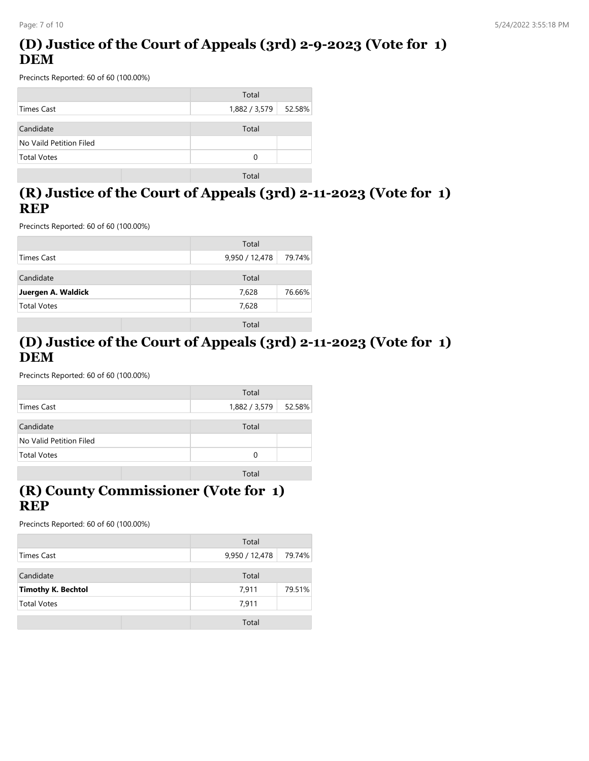# **(D) Justice of the Court of Appeals (3rd) 2-9-2023 (Vote for 1) DEM**

Precincts Reported: 60 of 60 (100.00%)

|                         | Total         |        |
|-------------------------|---------------|--------|
| Times Cast              | 1,882 / 3,579 | 52.58% |
| Candidate               | Total         |        |
| No Vaild Petition Filed |               |        |
| <b>Total Votes</b>      | 0             |        |
|                         |               |        |
|                         | Total         |        |

#### **(R) Justice of the Court of Appeals (3rd) 2-11-2023 (Vote for 1) REP**

Precincts Reported: 60 of 60 (100.00%)

|                    | Total                    |
|--------------------|--------------------------|
| Times Cast         | 9,950 / 12,478<br>79.74% |
| Candidate          | Total                    |
| Juergen A. Waldick | 76.66%<br>7,628          |
| <b>Total Votes</b> | 7,628                    |
|                    | Total                    |

## **(D) Justice of the Court of Appeals (3rd) 2-11-2023 (Vote for 1) DEM**

Precincts Reported: 60 of 60 (100.00%)

|                         | Total         |        |
|-------------------------|---------------|--------|
| Times Cast              | 1,882 / 3,579 | 52.58% |
| Candidate               | Total         |        |
| No Valid Petition Filed |               |        |
| <b>Total Votes</b>      | 0             |        |
|                         | Total         |        |

#### **(R) County Commissioner (Vote for 1) REP**

|                           | Total                    |
|---------------------------|--------------------------|
| Times Cast                | 79.74%<br>9,950 / 12,478 |
| Candidate                 | Total                    |
| <b>Timothy K. Bechtol</b> | 79.51%<br>7,911          |
| <b>Total Votes</b>        | 7,911                    |
|                           | Total                    |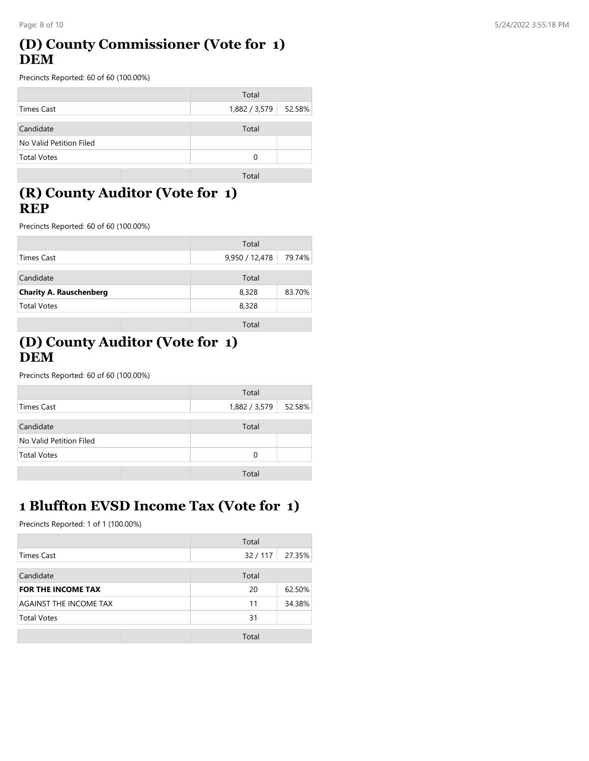## **(D) County Commissioner (Vote for 1) DEM**

Precincts Reported: 60 of 60 (100.00%)

|                         | Total                   |
|-------------------------|-------------------------|
| Times Cast              | 52.58%<br>1,882 / 3,579 |
| Candidate               | Total                   |
| No Valid Petition Filed |                         |
| <b>Total Votes</b>      | 0                       |
|                         | Total                   |

# **(R) County Auditor (Vote for 1) REP**

Precincts Reported: 60 of 60 (100.00%)

|                                | Total          |        |
|--------------------------------|----------------|--------|
| <b>Times Cast</b>              | 9,950 / 12,478 | 79.74% |
| Candidate                      | Total          |        |
| <b>Charity A. Rauschenberg</b> | 8,328          | 83.70% |
| <b>Total Votes</b>             | 8,328          |        |
|                                | Total          |        |

# **(D) County Auditor (Vote for 1) DEM**

Precincts Reported: 60 of 60 (100.00%)

|                         | Total                   |
|-------------------------|-------------------------|
| Times Cast              | 1,882 / 3,579<br>52.58% |
| Candidate               | Total                   |
| No Valid Petition Filed |                         |
| <b>Total Votes</b>      | 0                       |
|                         | Total                   |

# **1 Bluffton EVSD Income Tax (Vote for 1)**

|                           | Total  |        |
|---------------------------|--------|--------|
| <b>Times Cast</b>         | 32/117 | 27.35% |
| Candidate                 | Total  |        |
| <b>FOR THE INCOME TAX</b> | 20     | 62.50% |
| AGAINST THE INCOME TAX    | 11     | 34.38% |
| <b>Total Votes</b>        | 31     |        |
|                           | Total  |        |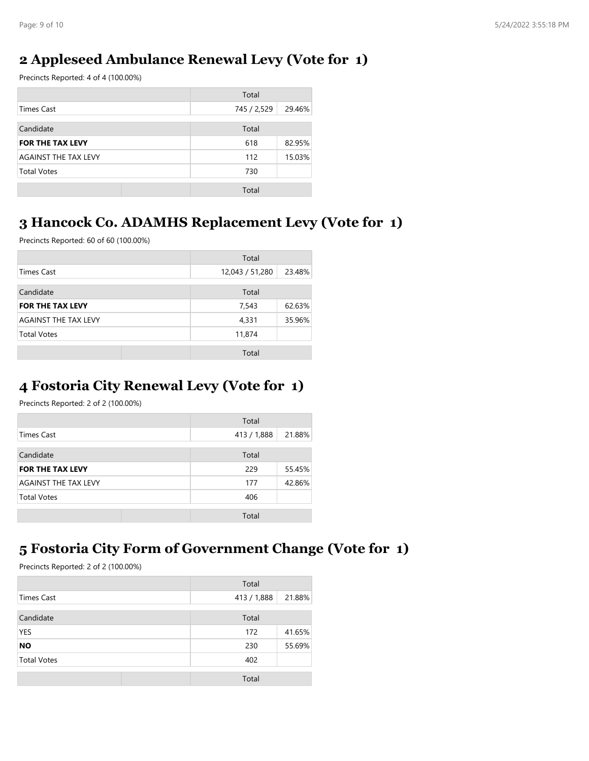# **2 Appleseed Ambulance Renewal Levy (Vote for 1)**

Precincts Reported: 4 of 4 (100.00%)

|                             | Total       |        |
|-----------------------------|-------------|--------|
| Times Cast                  | 745 / 2,529 | 29.46% |
| Candidate                   | Total       |        |
| <b>FOR THE TAX LEVY</b>     | 618         | 82.95% |
| <b>AGAINST THE TAX LEVY</b> | 112         | 15.03% |
| <b>Total Votes</b>          | 730         |        |
|                             | Total       |        |

#### **3 Hancock Co. ADAMHS Replacement Levy (Vote for 1)**

Precincts Reported: 60 of 60 (100.00%)

|                             | Total           |        |
|-----------------------------|-----------------|--------|
| Times Cast                  | 12,043 / 51,280 | 23.48% |
| Candidate                   | Total           |        |
| <b>FOR THE TAX LEVY</b>     | 7,543           | 62.63% |
| <b>AGAINST THE TAX LEVY</b> | 4,331           | 35.96% |
| <b>Total Votes</b>          | 11,874          |        |
|                             | Total           |        |

# **4 Fostoria City Renewal Levy (Vote for 1)**

Precincts Reported: 2 of 2 (100.00%)

|                             | Total       |        |
|-----------------------------|-------------|--------|
| Times Cast                  | 413 / 1,888 | 21.88% |
| Candidate                   | Total       |        |
| <b>FOR THE TAX LEVY</b>     | 229         | 55.45% |
| <b>AGAINST THE TAX LEVY</b> | 177         | 42.86% |
| <b>Total Votes</b>          | 406         |        |
|                             | Total       |        |

## **5 Fostoria City Form of Government Change (Vote for 1)**

|                    | Total       |        |
|--------------------|-------------|--------|
| Times Cast         | 413 / 1,888 | 21.88% |
| Candidate          | Total       |        |
| YES                | 172         | 41.65% |
| <b>NO</b>          | 230         | 55.69% |
| <b>Total Votes</b> | 402         |        |
|                    | Total       |        |